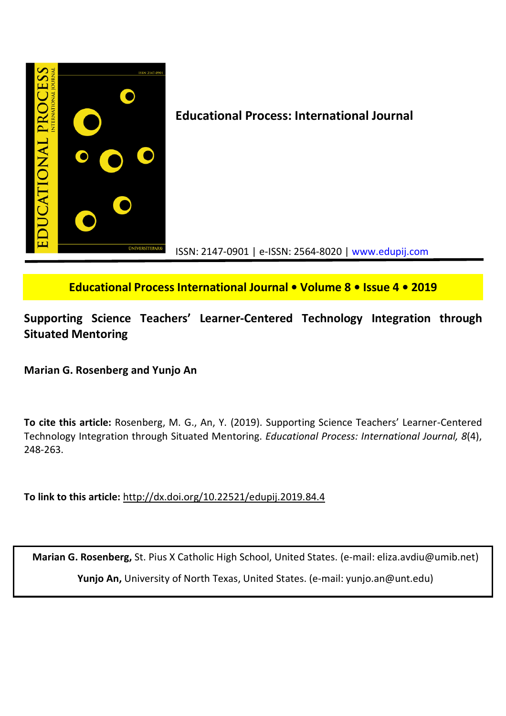

**Educational Process International Journal • Volume 8 • Issue 4 • 2019**

# **Supporting Science Teachers' Learner-Centered Technology Integration through Situated Mentoring**

**Marian G. Rosenberg and Yunjo An**

**To cite this article:** Rosenberg, M. G., An, Y. (2019). Supporting Science Teachers' Learner-Centered Technology Integration through Situated Mentoring. *Educational Process: International Journal, 8*(4), 248-263.

**To link to this article:** http://dx.doi.org/10.22521/edupij.2019.84.4

**Marian G. Rosenberg,** St. Pius X Catholic High School, United States. (e-mail: eliza.avdiu@umib.net) **Yunjo An,** University of North Texas, United States. (e-mail: yunjo.an@unt.edu)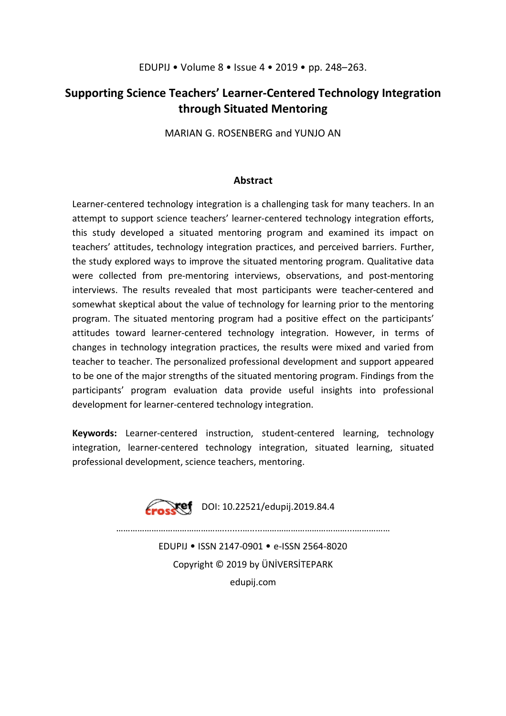# **Supporting Science Teachers' Learner-Centered Technology Integration through Situated Mentoring**

MARIAN G. ROSENBERG and YUNJO AN

## **Abstract**

Learner-centered technology integration is a challenging task for many teachers. In an attempt to support science teachers' learner-centered technology integration efforts, this study developed a situated mentoring program and examined its impact on teachers' attitudes, technology integration practices, and perceived barriers. Further, the study explored ways to improve the situated mentoring program. Qualitative data were collected from pre-mentoring interviews, observations, and post-mentoring interviews. The results revealed that most participants were teacher-centered and somewhat skeptical about the value of technology for learning prior to the mentoring program. The situated mentoring program had a positive effect on the participants' attitudes toward learner-centered technology integration. However, in terms of changes in technology integration practices, the results were mixed and varied from teacher to teacher. The personalized professional development and support appeared to be one of the major strengths of the situated mentoring program. Findings from the participants' program evaluation data provide useful insights into professional development for learner-centered technology integration.

**Keywords:** Learner-centered instruction, student-centered learning, technology integration, learner-centered technology integration, situated learning, situated professional development, science teachers, mentoring.



**Cross Cf** DOI: 10.22521/edupij.2019.84.4

………………………………………........….....………………………………...……………

EDUPIJ • ISSN 2147-0901 • e-ISSN 2564-8020 Copyright © 2019 by ÜNİVERSİTEPARK edupij.com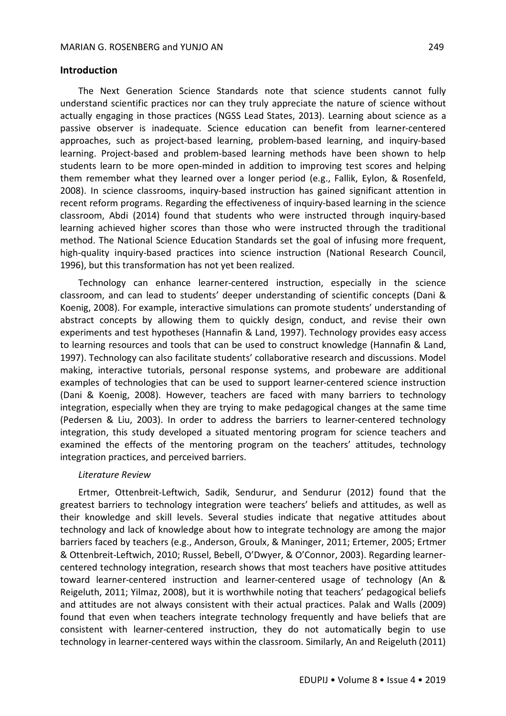The Next Generation Science Standards note that science students cannot fully understand scientific practices nor can they truly appreciate the nature of science without actually engaging in those practices (NGSS Lead States, 2013). Learning about science as a passive observer is inadequate. Science education can benefit from learner-centered approaches, such as project-based learning, problem-based learning, and inquiry-based learning. Project-based and problem-based learning methods have been shown to help students learn to be more open-minded in addition to improving test scores and helping them remember what they learned over a longer period (e.g., Fallik, Eylon, & Rosenfeld, 2008). In science classrooms, inquiry-based instruction has gained significant attention in recent reform programs. Regarding the effectiveness of inquiry-based learning in the science classroom, Abdi (2014) found that students who were instructed through inquiry-based learning achieved higher scores than those who were instructed through the traditional method. The National Science Education Standards set the goal of infusing more frequent, high-quality inquiry-based practices into science instruction (National Research Council, 1996), but this transformation has not yet been realized.

Technology can enhance learner-centered instruction, especially in the science classroom, and can lead to students' deeper understanding of scientific concepts (Dani & Koenig, 2008). For example, interactive simulations can promote students' understanding of abstract concepts by allowing them to quickly design, conduct, and revise their own experiments and test hypotheses (Hannafin & Land, 1997). Technology provides easy access to learning resources and tools that can be used to construct knowledge (Hannafin & Land, 1997). Technology can also facilitate students' collaborative research and discussions. Model making, interactive tutorials, personal response systems, and probeware are additional examples of technologies that can be used to support learner-centered science instruction (Dani & Koenig, 2008). However, teachers are faced with many barriers to technology integration, especially when they are trying to make pedagogical changes at the same time (Pedersen & Liu, 2003). In order to address the barriers to learner-centered technology integration, this study developed a situated mentoring program for science teachers and examined the effects of the mentoring program on the teachers' attitudes, technology integration practices, and perceived barriers.

#### *Literature Review*

Ertmer, Ottenbreit-Leftwich, Sadik, Sendurur, and Sendurur (2012) found that the greatest barriers to technology integration were teachers' beliefs and attitudes, as well as their knowledge and skill levels. Several studies indicate that negative attitudes about technology and lack of knowledge about how to integrate technology are among the major barriers faced by teachers (e.g., Anderson, Groulx, & Maninger, 2011; Ertemer, 2005; Ertmer & Ottenbreit-Leftwich, 2010; Russel, Bebell, O'Dwyer, & O'Connor, 2003). Regarding learnercentered technology integration, research shows that most teachers have positive attitudes toward learner-centered instruction and learner-centered usage of technology (An & Reigeluth, 2011; Yilmaz, 2008), but it is worthwhile noting that teachers' pedagogical beliefs and attitudes are not always consistent with their actual practices. Palak and Walls (2009) found that even when teachers integrate technology frequently and have beliefs that are consistent with learner-centered instruction, they do not automatically begin to use technology in learner-centered ways within the classroom. Similarly, An and Reigeluth (2011)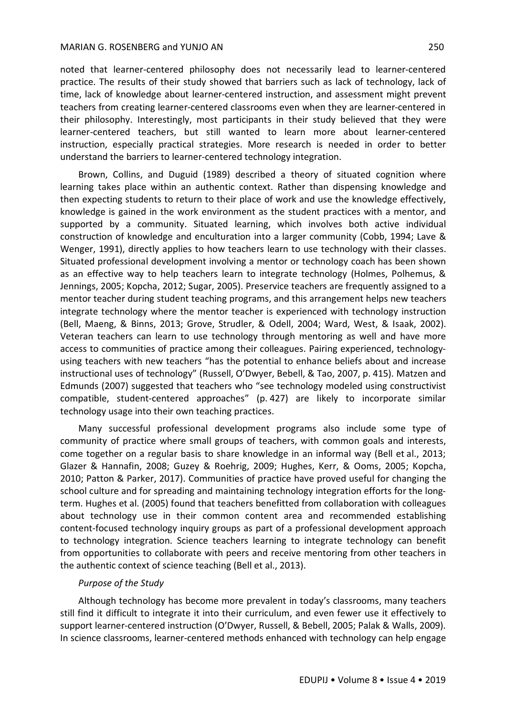noted that learner-centered philosophy does not necessarily lead to learner-centered practice. The results of their study showed that barriers such as lack of technology, lack of time, lack of knowledge about learner-centered instruction, and assessment might prevent teachers from creating learner-centered classrooms even when they are learner-centered in their philosophy. Interestingly, most participants in their study believed that they were learner-centered teachers, but still wanted to learn more about learner-centered instruction, especially practical strategies. More research is needed in order to better understand the barriers to learner-centered technology integration.

Brown, Collins, and Duguid (1989) described a theory of situated cognition where learning takes place within an authentic context. Rather than dispensing knowledge and then expecting students to return to their place of work and use the knowledge effectively, knowledge is gained in the work environment as the student practices with a mentor, and supported by a community. Situated learning, which involves both active individual construction of knowledge and enculturation into a larger community (Cobb, 1994; Lave & Wenger, 1991), directly applies to how teachers learn to use technology with their classes. Situated professional development involving a mentor or technology coach has been shown as an effective way to help teachers learn to integrate technology (Holmes, Polhemus, & Jennings, 2005; Kopcha, 2012; Sugar, 2005). Preservice teachers are frequently assigned to a mentor teacher during student teaching programs, and this arrangement helps new teachers integrate technology where the mentor teacher is experienced with technology instruction (Bell, Maeng, & Binns, 2013; Grove, Strudler, & Odell, 2004; Ward, West, & Isaak, 2002). Veteran teachers can learn to use technology through mentoring as well and have more access to communities of practice among their colleagues. Pairing experienced, technologyusing teachers with new teachers "has the potential to enhance beliefs about and increase instructional uses of technology" (Russell, O'Dwyer, Bebell, & Tao, 2007, p. 415). Matzen and Edmunds (2007) suggested that teachers who "see technology modeled using constructivist compatible, student-centered approaches" (p. 427) are likely to incorporate similar technology usage into their own teaching practices.

Many successful professional development programs also include some type of community of practice where small groups of teachers, with common goals and interests, come together on a regular basis to share knowledge in an informal way (Bell et al., 2013; Glazer & Hannafin, 2008; Guzey & Roehrig, 2009; Hughes, Kerr, & Ooms, 2005; Kopcha, 2010; Patton & Parker, 2017). Communities of practice have proved useful for changing the school culture and for spreading and maintaining technology integration efforts for the longterm. Hughes et al. (2005) found that teachers benefitted from collaboration with colleagues about technology use in their common content area and recommended establishing content-focused technology inquiry groups as part of a professional development approach to technology integration. Science teachers learning to integrate technology can benefit from opportunities to collaborate with peers and receive mentoring from other teachers in the authentic context of science teaching (Bell et al., 2013).

### *Purpose of the Study*

Although technology has become more prevalent in today's classrooms, many teachers still find it difficult to integrate it into their curriculum, and even fewer use it effectively to support learner-centered instruction (O'Dwyer, Russell, & Bebell, 2005; Palak & Walls, 2009). In science classrooms, learner-centered methods enhanced with technology can help engage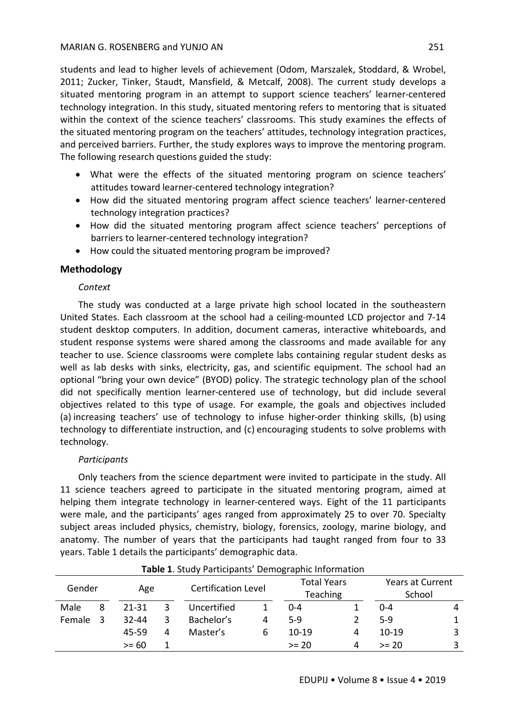students and lead to higher levels of achievement (Odom, Marszalek, Stoddard, & Wrobel, 2011; Zucker, Tinker, Staudt, Mansfield, & Metcalf, 2008). The current study develops a situated mentoring program in an attempt to support science teachers' learner-centered technology integration. In this study, situated mentoring refers to mentoring that is situated within the context of the science teachers' classrooms. This study examines the effects of the situated mentoring program on the teachers' attitudes, technology integration practices, and perceived barriers. Further, the study explores ways to improve the mentoring program. The following research questions guided the study:

- What were the effects of the situated mentoring program on science teachers' attitudes toward learner-centered technology integration?
- How did the situated mentoring program affect science teachers' learner-centered technology integration practices?
- How did the situated mentoring program affect science teachers' perceptions of barriers to learner-centered technology integration?
- How could the situated mentoring program be improved?

# **Methodology**

# *Context*

The study was conducted at a large private high school located in the southeastern United States. Each classroom at the school had a ceiling-mounted LCD projector and 7-14 student desktop computers. In addition, document cameras, interactive whiteboards, and student response systems were shared among the classrooms and made available for any teacher to use. Science classrooms were complete labs containing regular student desks as well as lab desks with sinks, electricity, gas, and scientific equipment. The school had an optional "bring your own device" (BYOD) policy. The strategic technology plan of the school did not specifically mention learner-centered use of technology, but did include several objectives related to this type of usage. For example, the goals and objectives included (a) increasing teachers' use of technology to infuse higher-order thinking skills, (b) using technology to differentiate instruction, and (c) encouraging students to solve problems with technology.

# *Participants*

Only teachers from the science department were invited to participate in the study. All 11 science teachers agreed to participate in the situated mentoring program, aimed at helping them integrate technology in learner-centered ways. Eight of the 11 participants were male, and the participants' ages ranged from approximately 25 to over 70. Specialty subject areas included physics, chemistry, biology, forensics, zoology, marine biology, and anatomy. The number of years that the participants had taught ranged from four to 33 years. Table 1 details the participants' demographic data.

| Gender |   | Age       |   | <b>Certification Level</b> |   | <b>Total Years</b><br><b>Teaching</b> |   | <b>Years at Current</b><br>School |              |
|--------|---|-----------|---|----------------------------|---|---------------------------------------|---|-----------------------------------|--------------|
|        |   |           |   |                            |   |                                       |   |                                   |              |
| Female | 3 | $32 - 44$ | 3 | Bachelor's                 | 4 | $5-9$                                 |   | $5-9$                             | $\mathbf{1}$ |
|        |   | 45-59     | 4 | Master's                   | 6 | $10-19$                               |   | $10-19$                           | 3            |
|        |   | $>= 60$   |   |                            |   | $>= 20$                               | 4 | $>= 20$                           |              |
|        |   |           |   |                            |   |                                       |   |                                   |              |

## **Table 1**. Study Participants' Demographic Information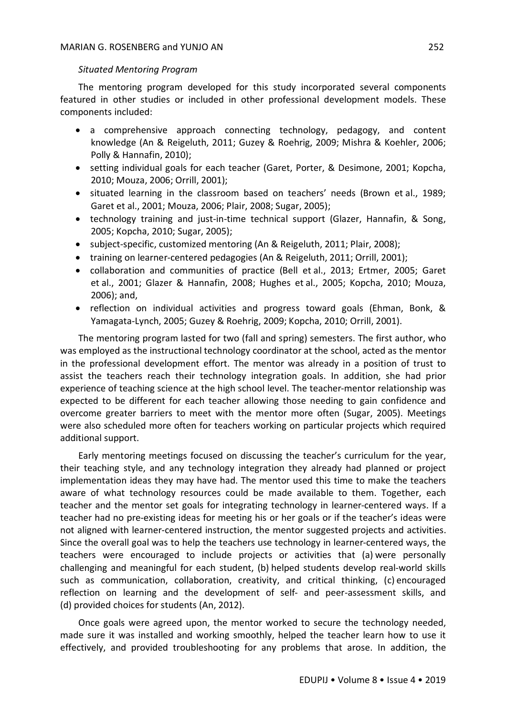### *Situated Mentoring Program*

The mentoring program developed for this study incorporated several components featured in other studies or included in other professional development models. These components included:

- a comprehensive approach connecting technology, pedagogy, and content knowledge (An & Reigeluth, 2011; Guzey & Roehrig, 2009; Mishra & Koehler, 2006; Polly & Hannafin, 2010);
- setting individual goals for each teacher (Garet, Porter, & Desimone, 2001; Kopcha, 2010; Mouza, 2006; Orrill, 2001);
- situated learning in the classroom based on teachers' needs (Brown et al., 1989; Garet et al., 2001; Mouza, 2006; Plair, 2008; Sugar, 2005);
- technology training and just-in-time technical support (Glazer, Hannafin, & Song, 2005; Kopcha, 2010; Sugar, 2005);
- subject-specific, customized mentoring (An & Reigeluth, 2011; Plair, 2008);
- training on learner-centered pedagogies (An & Reigeluth, 2011; Orrill, 2001);
- collaboration and communities of practice (Bell et al., 2013; Ertmer, 2005; Garet et al., 2001; Glazer & Hannafin, 2008; Hughes et al., 2005; Kopcha, 2010; Mouza, 2006); and,
- reflection on individual activities and progress toward goals (Ehman, Bonk, & Yamagata-Lynch, 2005; Guzey & Roehrig, 2009; Kopcha, 2010; Orrill, 2001).

The mentoring program lasted for two (fall and spring) semesters. The first author, who was employed as the instructional technology coordinator at the school, acted as the mentor in the professional development effort. The mentor was already in a position of trust to assist the teachers reach their technology integration goals. In addition, she had prior experience of teaching science at the high school level. The teacher-mentor relationship was expected to be different for each teacher allowing those needing to gain confidence and overcome greater barriers to meet with the mentor more often (Sugar, 2005). Meetings were also scheduled more often for teachers working on particular projects which required additional support.

Early mentoring meetings focused on discussing the teacher's curriculum for the year, their teaching style, and any technology integration they already had planned or project implementation ideas they may have had. The mentor used this time to make the teachers aware of what technology resources could be made available to them. Together, each teacher and the mentor set goals for integrating technology in learner-centered ways. If a teacher had no pre-existing ideas for meeting his or her goals or if the teacher's ideas were not aligned with learner-centered instruction, the mentor suggested projects and activities. Since the overall goal was to help the teachers use technology in learner-centered ways, the teachers were encouraged to include projects or activities that (a) were personally challenging and meaningful for each student, (b) helped students develop real-world skills such as communication, collaboration, creativity, and critical thinking, (c) encouraged reflection on learning and the development of self- and peer-assessment skills, and (d) provided choices for students (An, 2012).

Once goals were agreed upon, the mentor worked to secure the technology needed, made sure it was installed and working smoothly, helped the teacher learn how to use it effectively, and provided troubleshooting for any problems that arose. In addition, the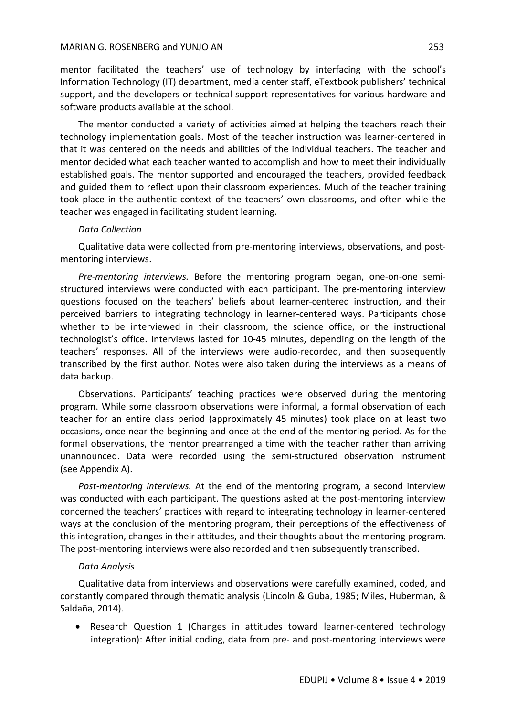mentor facilitated the teachers' use of technology by interfacing with the school's Information Technology (IT) department, media center staff, eTextbook publishers' technical support, and the developers or technical support representatives for various hardware and software products available at the school.

The mentor conducted a variety of activities aimed at helping the teachers reach their technology implementation goals. Most of the teacher instruction was learner-centered in that it was centered on the needs and abilities of the individual teachers. The teacher and mentor decided what each teacher wanted to accomplish and how to meet their individually established goals. The mentor supported and encouraged the teachers, provided feedback and guided them to reflect upon their classroom experiences. Much of the teacher training took place in the authentic context of the teachers' own classrooms, and often while the teacher was engaged in facilitating student learning.

## *Data Collection*

Qualitative data were collected from pre-mentoring interviews, observations, and postmentoring interviews.

*Pre-mentoring interviews.* Before the mentoring program began, one-on-one semistructured interviews were conducted with each participant. The pre-mentoring interview questions focused on the teachers' beliefs about learner-centered instruction, and their perceived barriers to integrating technology in learner-centered ways. Participants chose whether to be interviewed in their classroom, the science office, or the instructional technologist's office. Interviews lasted for 10-45 minutes, depending on the length of the teachers' responses. All of the interviews were audio-recorded, and then subsequently transcribed by the first author. Notes were also taken during the interviews as a means of data backup.

Observations. Participants' teaching practices were observed during the mentoring program. While some classroom observations were informal, a formal observation of each teacher for an entire class period (approximately 45 minutes) took place on at least two occasions, once near the beginning and once at the end of the mentoring period. As for the formal observations, the mentor prearranged a time with the teacher rather than arriving unannounced. Data were recorded using the semi-structured observation instrument (see Appendix A).

*Post-mentoring interviews.* At the end of the mentoring program, a second interview was conducted with each participant. The questions asked at the post-mentoring interview concerned the teachers' practices with regard to integrating technology in learner-centered ways at the conclusion of the mentoring program, their perceptions of the effectiveness of this integration, changes in their attitudes, and their thoughts about the mentoring program. The post-mentoring interviews were also recorded and then subsequently transcribed.

## *Data Analysis*

Qualitative data from interviews and observations were carefully examined, coded, and constantly compared through thematic analysis (Lincoln & Guba, 1985; Miles, Huberman, & Saldaña, 2014).

• Research Question 1 (Changes in attitudes toward learner-centered technology integration): After initial coding, data from pre- and post-mentoring interviews were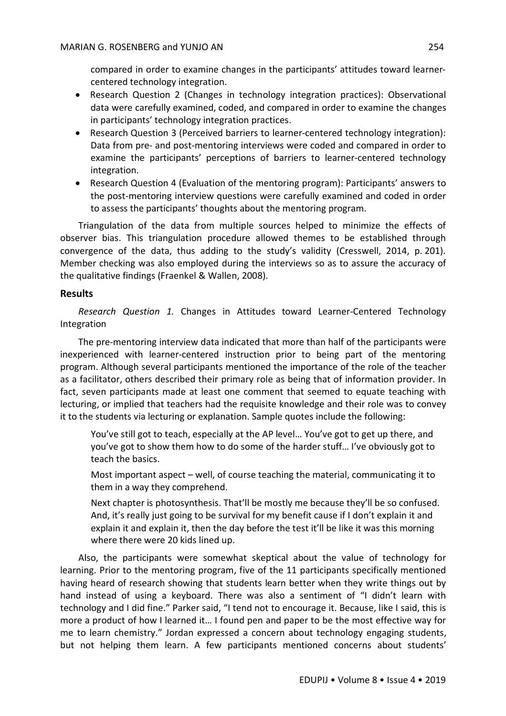compared in order to examine changes in the participants' attitudes toward learnercentered technology integration.

- Research Question 2 (Changes in technology integration practices): Observational data were carefully examined, coded, and compared in order to examine the changes in participants' technology integration practices.
- Research Question 3 (Perceived barriers to learner-centered technology integration): Data from pre- and post-mentoring interviews were coded and compared in order to examine the participants' perceptions of barriers to learner-centered technology integration.
- Research Question 4 (Evaluation of the mentoring program): Participants' answers to the post-mentoring interview questions were carefully examined and coded in order to assess the participants' thoughts about the mentoring program.

Triangulation of the data from multiple sources helped to minimize the effects of observer bias. This triangulation procedure allowed themes to be established through convergence of the data, thus adding to the study's validity (Cresswell, 2014, p. 201). Member checking was also employed during the interviews so as to assure the accuracy of the qualitative findings (Fraenkel & Wallen, 2008).

## **Results**

*Research Question 1.* Changes in Attitudes toward Learner-Centered Technology Integration

The pre-mentoring interview data indicated that more than half of the participants were inexperienced with learner-centered instruction prior to being part of the mentoring program. Although several participants mentioned the importance of the role of the teacher as a facilitator, others described their primary role as being that of information provider. In fact, seven participants made at least one comment that seemed to equate teaching with lecturing, or implied that teachers had the requisite knowledge and their role was to convey it to the students via lecturing or explanation. Sample quotes include the following:

You've still got to teach, especially at the AP level… You've got to get up there, and you've got to show them how to do some of the harder stuff… I've obviously got to teach the basics.

Most important aspect – well, of course teaching the material, communicating it to them in a way they comprehend.

Next chapter is photosynthesis. That'll be mostly me because they'll be so confused. And, it's really just going to be survival for my benefit cause if I don't explain it and explain it and explain it, then the day before the test it'll be like it was this morning where there were 20 kids lined up.

Also, the participants were somewhat skeptical about the value of technology for learning. Prior to the mentoring program, five of the 11 participants specifically mentioned having heard of research showing that students learn better when they write things out by hand instead of using a keyboard. There was also a sentiment of "I didn't learn with technology and I did fine." Parker said, "I tend not to encourage it. Because, like I said, this is more a product of how I learned it… I found pen and paper to be the most effective way for me to learn chemistry." Jordan expressed a concern about technology engaging students, but not helping them learn. A few participants mentioned concerns about students'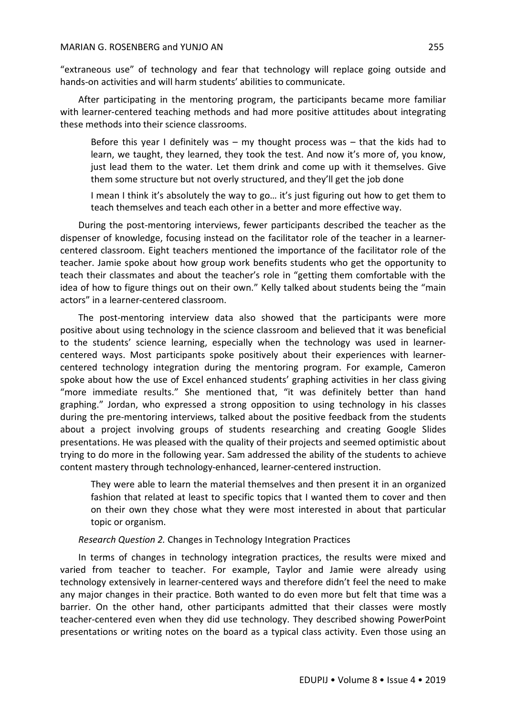"extraneous use" of technology and fear that technology will replace going outside and hands-on activities and will harm students' abilities to communicate.

After participating in the mentoring program, the participants became more familiar with learner-centered teaching methods and had more positive attitudes about integrating these methods into their science classrooms.

Before this year I definitely was  $-$  my thought process was  $-$  that the kids had to learn, we taught, they learned, they took the test. And now it's more of, you know, just lead them to the water. Let them drink and come up with it themselves. Give them some structure but not overly structured, and they'll get the job done

I mean I think it's absolutely the way to go… it's just figuring out how to get them to teach themselves and teach each other in a better and more effective way.

During the post-mentoring interviews, fewer participants described the teacher as the dispenser of knowledge, focusing instead on the facilitator role of the teacher in a learnercentered classroom. Eight teachers mentioned the importance of the facilitator role of the teacher. Jamie spoke about how group work benefits students who get the opportunity to teach their classmates and about the teacher's role in "getting them comfortable with the idea of how to figure things out on their own." Kelly talked about students being the "main actors" in a learner-centered classroom.

The post-mentoring interview data also showed that the participants were more positive about using technology in the science classroom and believed that it was beneficial to the students' science learning, especially when the technology was used in learnercentered ways. Most participants spoke positively about their experiences with learnercentered technology integration during the mentoring program. For example, Cameron spoke about how the use of Excel enhanced students' graphing activities in her class giving "more immediate results." She mentioned that, "it was definitely better than hand graphing." Jordan, who expressed a strong opposition to using technology in his classes during the pre-mentoring interviews, talked about the positive feedback from the students about a project involving groups of students researching and creating Google Slides presentations. He was pleased with the quality of their projects and seemed optimistic about trying to do more in the following year. Sam addressed the ability of the students to achieve content mastery through technology-enhanced, learner-centered instruction.

They were able to learn the material themselves and then present it in an organized fashion that related at least to specific topics that I wanted them to cover and then on their own they chose what they were most interested in about that particular topic or organism.

#### *Research Question 2.* Changes in Technology Integration Practices

In terms of changes in technology integration practices, the results were mixed and varied from teacher to teacher. For example, Taylor and Jamie were already using technology extensively in learner-centered ways and therefore didn't feel the need to make any major changes in their practice. Both wanted to do even more but felt that time was a barrier. On the other hand, other participants admitted that their classes were mostly teacher-centered even when they did use technology. They described showing PowerPoint presentations or writing notes on the board as a typical class activity. Even those using an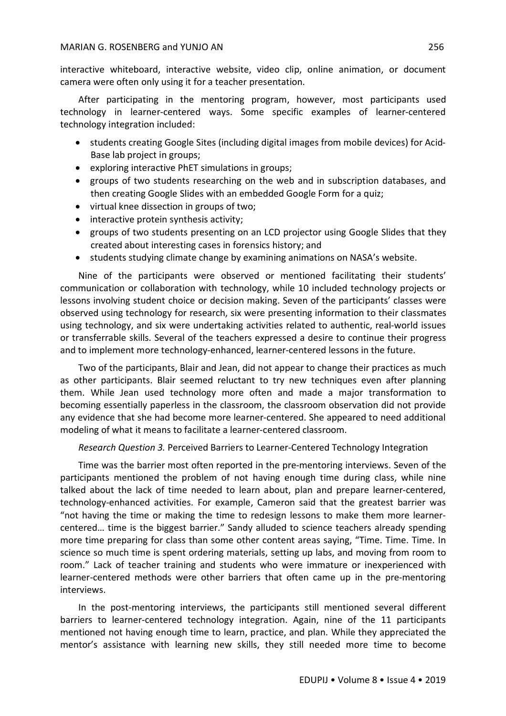interactive whiteboard, interactive website, video clip, online animation, or document camera were often only using it for a teacher presentation.

After participating in the mentoring program, however, most participants used technology in learner-centered ways. Some specific examples of learner-centered technology integration included:

- students creating Google Sites (including digital images from mobile devices) for Acid-Base lab project in groups;
- exploring interactive PhET simulations in groups;
- groups of two students researching on the web and in subscription databases, and then creating Google Slides with an embedded Google Form for a quiz;
- virtual knee dissection in groups of two;
- interactive protein synthesis activity;
- groups of two students presenting on an LCD projector using Google Slides that they created about interesting cases in forensics history; and
- students studying climate change by examining animations on NASA's website.

Nine of the participants were observed or mentioned facilitating their students' communication or collaboration with technology, while 10 included technology projects or lessons involving student choice or decision making. Seven of the participants' classes were observed using technology for research, six were presenting information to their classmates using technology, and six were undertaking activities related to authentic, real-world issues or transferrable skills. Several of the teachers expressed a desire to continue their progress and to implement more technology-enhanced, learner-centered lessons in the future.

Two of the participants, Blair and Jean, did not appear to change their practices as much as other participants. Blair seemed reluctant to try new techniques even after planning them. While Jean used technology more often and made a major transformation to becoming essentially paperless in the classroom, the classroom observation did not provide any evidence that she had become more learner-centered. She appeared to need additional modeling of what it means to facilitate a learner-centered classroom.

*Research Question 3.* Perceived Barriers to Learner-Centered Technology Integration

Time was the barrier most often reported in the pre-mentoring interviews. Seven of the participants mentioned the problem of not having enough time during class, while nine talked about the lack of time needed to learn about, plan and prepare learner-centered, technology-enhanced activities. For example, Cameron said that the greatest barrier was "not having the time or making the time to redesign lessons to make them more learnercentered… time is the biggest barrier." Sandy alluded to science teachers already spending more time preparing for class than some other content areas saying, "Time. Time. Time. In science so much time is spent ordering materials, setting up labs, and moving from room to room." Lack of teacher training and students who were immature or inexperienced with learner-centered methods were other barriers that often came up in the pre-mentoring interviews.

In the post-mentoring interviews, the participants still mentioned several different barriers to learner-centered technology integration. Again, nine of the 11 participants mentioned not having enough time to learn, practice, and plan. While they appreciated the mentor's assistance with learning new skills, they still needed more time to become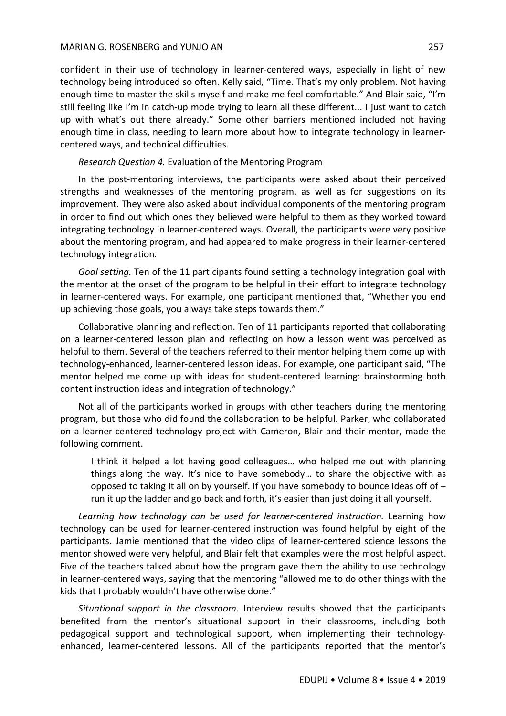confident in their use of technology in learner-centered ways, especially in light of new technology being introduced so often. Kelly said, "Time. That's my only problem. Not having enough time to master the skills myself and make me feel comfortable." And Blair said, "I'm still feeling like I'm in catch-up mode trying to learn all these different... I just want to catch up with what's out there already." Some other barriers mentioned included not having enough time in class, needing to learn more about how to integrate technology in learnercentered ways, and technical difficulties.

*Research Question 4.* Evaluation of the Mentoring Program

In the post-mentoring interviews, the participants were asked about their perceived strengths and weaknesses of the mentoring program, as well as for suggestions on its improvement. They were also asked about individual components of the mentoring program in order to find out which ones they believed were helpful to them as they worked toward integrating technology in learner-centered ways. Overall, the participants were very positive about the mentoring program, and had appeared to make progress in their learner-centered technology integration.

*Goal setting.* Ten of the 11 participants found setting a technology integration goal with the mentor at the onset of the program to be helpful in their effort to integrate technology in learner-centered ways. For example, one participant mentioned that, "Whether you end up achieving those goals, you always take steps towards them."

Collaborative planning and reflection. Ten of 11 participants reported that collaborating on a learner-centered lesson plan and reflecting on how a lesson went was perceived as helpful to them. Several of the teachers referred to their mentor helping them come up with technology-enhanced, learner-centered lesson ideas. For example, one participant said, "The mentor helped me come up with ideas for student-centered learning: brainstorming both content instruction ideas and integration of technology."

Not all of the participants worked in groups with other teachers during the mentoring program, but those who did found the collaboration to be helpful. Parker, who collaborated on a learner-centered technology project with Cameron, Blair and their mentor, made the following comment.

I think it helped a lot having good colleagues… who helped me out with planning things along the way. It's nice to have somebody… to share the objective with as opposed to taking it all on by yourself. If you have somebody to bounce ideas off of  $$ run it up the ladder and go back and forth, it's easier than just doing it all yourself.

Learning how technology can be used for learner-centered instruction. Learning how technology can be used for learner-centered instruction was found helpful by eight of the participants. Jamie mentioned that the video clips of learner-centered science lessons the mentor showed were very helpful, and Blair felt that examples were the most helpful aspect. Five of the teachers talked about how the program gave them the ability to use technology in learner-centered ways, saying that the mentoring "allowed me to do other things with the kids that I probably wouldn't have otherwise done."

*Situational support in the classroom.* Interview results showed that the participants benefited from the mentor's situational support in their classrooms, including both pedagogical support and technological support, when implementing their technologyenhanced, learner-centered lessons. All of the participants reported that the mentor's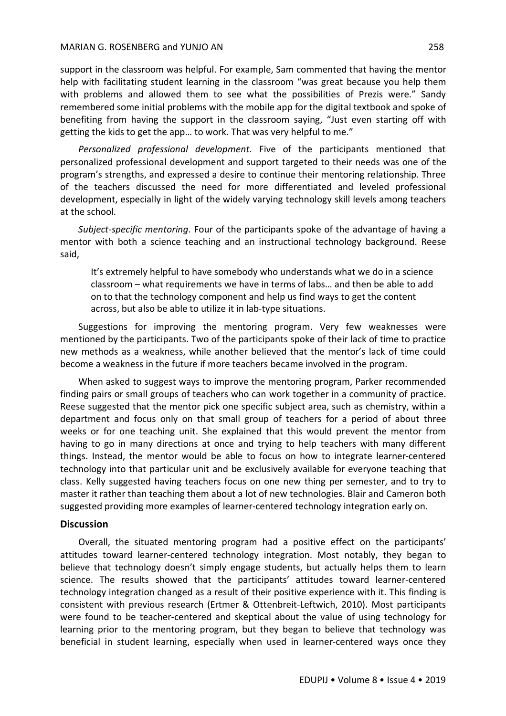support in the classroom was helpful. For example, Sam commented that having the mentor help with facilitating student learning in the classroom "was great because you help them with problems and allowed them to see what the possibilities of Prezis were." Sandy remembered some initial problems with the mobile app for the digital textbook and spoke of benefiting from having the support in the classroom saying, "Just even starting off with getting the kids to get the app… to work. That was very helpful to me."

*Personalized professional development*. Five of the participants mentioned that personalized professional development and support targeted to their needs was one of the program's strengths, and expressed a desire to continue their mentoring relationship. Three of the teachers discussed the need for more differentiated and leveled professional development, especially in light of the widely varying technology skill levels among teachers at the school.

*Subject-specific mentoring*. Four of the participants spoke of the advantage of having a mentor with both a science teaching and an instructional technology background. Reese said,

It's extremely helpful to have somebody who understands what we do in a science classroom – what requirements we have in terms of labs… and then be able to add on to that the technology component and help us find ways to get the content across, but also be able to utilize it in lab-type situations.

Suggestions for improving the mentoring program. Very few weaknesses were mentioned by the participants. Two of the participants spoke of their lack of time to practice new methods as a weakness, while another believed that the mentor's lack of time could become a weakness in the future if more teachers became involved in the program.

When asked to suggest ways to improve the mentoring program, Parker recommended finding pairs or small groups of teachers who can work together in a community of practice. Reese suggested that the mentor pick one specific subject area, such as chemistry, within a department and focus only on that small group of teachers for a period of about three weeks or for one teaching unit. She explained that this would prevent the mentor from having to go in many directions at once and trying to help teachers with many different things. Instead, the mentor would be able to focus on how to integrate learner-centered technology into that particular unit and be exclusively available for everyone teaching that class. Kelly suggested having teachers focus on one new thing per semester, and to try to master it rather than teaching them about a lot of new technologies. Blair and Cameron both suggested providing more examples of learner-centered technology integration early on.

## **Discussion**

Overall, the situated mentoring program had a positive effect on the participants' attitudes toward learner-centered technology integration. Most notably, they began to believe that technology doesn't simply engage students, but actually helps them to learn science. The results showed that the participants' attitudes toward learner-centered technology integration changed as a result of their positive experience with it. This finding is consistent with previous research (Ertmer & Ottenbreit-Leftwich, 2010). Most participants were found to be teacher-centered and skeptical about the value of using technology for learning prior to the mentoring program, but they began to believe that technology was beneficial in student learning, especially when used in learner-centered ways once they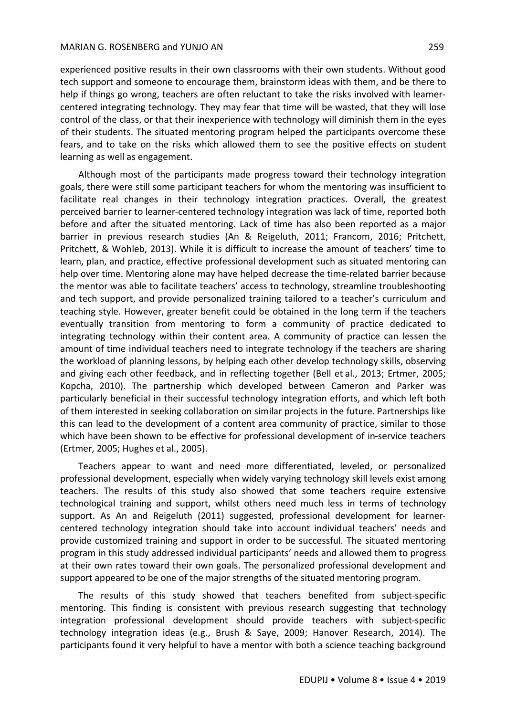experienced positive results in their own classrooms with their own students. Without good tech support and someone to encourage them, brainstorm ideas with them, and be there to help if things go wrong, teachers are often reluctant to take the risks involved with learnercentered integrating technology. They may fear that time will be wasted, that they will lose control of the class, or that their inexperience with technology will diminish them in the eyes of their students. The situated mentoring program helped the participants overcome these fears, and to take on the risks which allowed them to see the positive effects on student learning as well as engagement.

Although most of the participants made progress toward their technology integration goals, there were still some participant teachers for whom the mentoring was insufficient to facilitate real changes in their technology integration practices. Overall, the greatest perceived barrier to learner-centered technology integration was lack of time, reported both before and after the situated mentoring. Lack of time has also been reported as a major barrier in previous research studies (An & Reigeluth, 2011; Francom, 2016; Pritchett, Pritchett, & Wohleb, 2013). While it is difficult to increase the amount of teachers' time to learn, plan, and practice, effective professional development such as situated mentoring can help over time. Mentoring alone may have helped decrease the time-related barrier because the mentor was able to facilitate teachers' access to technology, streamline troubleshooting and tech support, and provide personalized training tailored to a teacher's curriculum and teaching style. However, greater benefit could be obtained in the long term if the teachers eventually transition from mentoring to form a community of practice dedicated to integrating technology within their content area. A community of practice can lessen the amount of time individual teachers need to integrate technology if the teachers are sharing the workload of planning lessons, by helping each other develop technology skills, observing and giving each other feedback, and in reflecting together (Bell et al., 2013; Ertmer, 2005; Kopcha, 2010). The partnership which developed between Cameron and Parker was particularly beneficial in their successful technology integration efforts, and which left both of them interested in seeking collaboration on similar projects in the future. Partnerships like this can lead to the development of a content area community of practice, similar to those which have been shown to be effective for professional development of in-service teachers (Ertmer, 2005; Hughes et al., 2005).

Teachers appear to want and need more differentiated, leveled, or personalized professional development, especially when widely varying technology skill levels exist among teachers. The results of this study also showed that some teachers require extensive technological training and support, whilst others need much less in terms of technology support. As An and Reigeluth (2011) suggested, professional development for learnercentered technology integration should take into account individual teachers' needs and provide customized training and support in order to be successful. The situated mentoring program in this study addressed individual participants' needs and allowed them to progress at their own rates toward their own goals. The personalized professional development and support appeared to be one of the major strengths of the situated mentoring program.

The results of this study showed that teachers benefited from subject-specific mentoring. This finding is consistent with previous research suggesting that technology integration professional development should provide teachers with subject-specific technology integration ideas (e.g., Brush & Saye, 2009; Hanover Research, 2014). The participants found it very helpful to have a mentor with both a science teaching background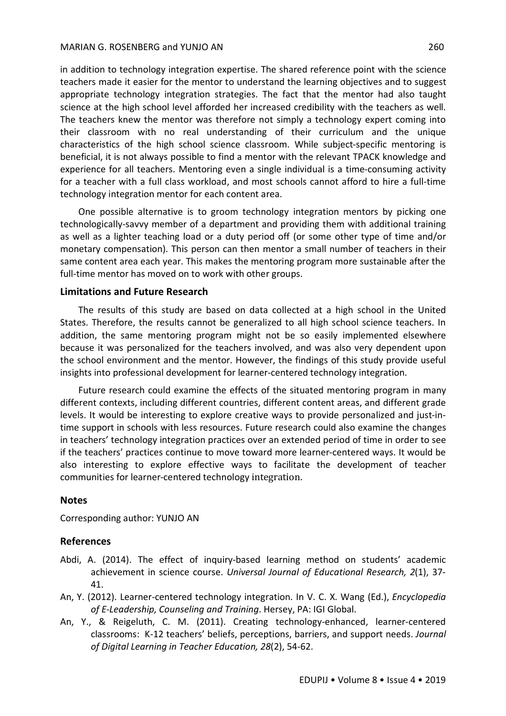in addition to technology integration expertise. The shared reference point with the science teachers made it easier for the mentor to understand the learning objectives and to suggest appropriate technology integration strategies. The fact that the mentor had also taught science at the high school level afforded her increased credibility with the teachers as well. The teachers knew the mentor was therefore not simply a technology expert coming into their classroom with no real understanding of their curriculum and the unique characteristics of the high school science classroom. While subject-specific mentoring is beneficial, it is not always possible to find a mentor with the relevant TPACK knowledge and experience for all teachers. Mentoring even a single individual is a time-consuming activity for a teacher with a full class workload, and most schools cannot afford to hire a full-time technology integration mentor for each content area.

One possible alternative is to groom technology integration mentors by picking one technologically-savvy member of a department and providing them with additional training as well as a lighter teaching load or a duty period off (or some other type of time and/or monetary compensation). This person can then mentor a small number of teachers in their same content area each year. This makes the mentoring program more sustainable after the full-time mentor has moved on to work with other groups.

### **Limitations and Future Research**

The results of this study are based on data collected at a high school in the United States. Therefore, the results cannot be generalized to all high school science teachers. In addition, the same mentoring program might not be so easily implemented elsewhere because it was personalized for the teachers involved, and was also very dependent upon the school environment and the mentor. However, the findings of this study provide useful insights into professional development for learner-centered technology integration.

Future research could examine the effects of the situated mentoring program in many different contexts, including different countries, different content areas, and different grade levels. It would be interesting to explore creative ways to provide personalized and just-intime support in schools with less resources. Future research could also examine the changes in teachers' technology integration practices over an extended period of time in order to see if the teachers' practices continue to move toward more learner-centered ways. It would be also interesting to explore effective ways to facilitate the development of teacher communities for learner-centered technology integration.

#### **Notes**

Corresponding author: YUNJO AN

## **References**

- Abdi, A. (2014). The effect of inquiry-based learning method on students' academic achievement in science course. *Universal Journal of Educational Research, 2*(1), 37- 41.
- An, Y. (2012). Learner-centered technology integration. In V. C. X. Wang (Ed.), *Encyclopedia of E-Leadership, Counseling and Training*. Hersey, PA: IGI Global.
- An, Y., & Reigeluth, C. M. (2011). Creating technology-enhanced, learner-centered classrooms: K-12 teachers' beliefs, perceptions, barriers, and support needs. *Journal of Digital Learning in Teacher Education, 28*(2), 54-62.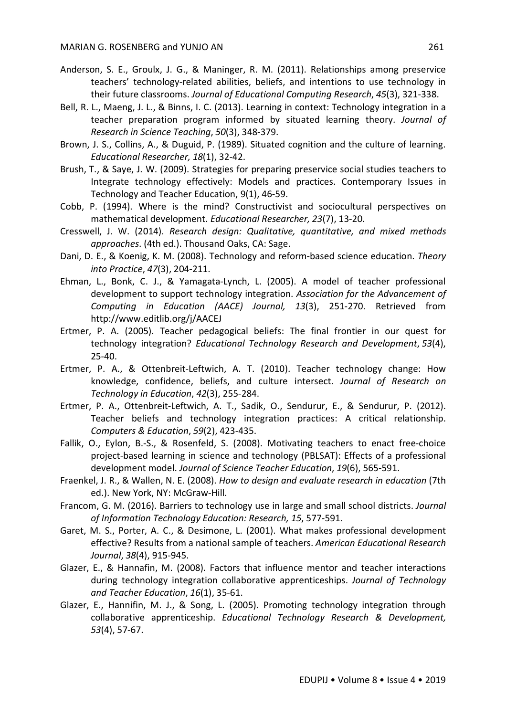- Anderson, S. E., Groulx, J. G., & Maninger, R. M. (2011). Relationships among preservice teachers' technology-related abilities, beliefs, and intentions to use technology in their future classrooms. *Journal of Educational Computing Research*, *45*(3), 321-338.
- Bell, R. L., Maeng, J. L., & Binns, I. C. (2013). Learning in context: Technology integration in a teacher preparation program informed by situated learning theory. *Journal of Research in Science Teaching*, *50*(3), 348-379.
- Brown, J. S., Collins, A., & Duguid, P. (1989). Situated cognition and the culture of learning. *Educational Researcher, 18*(1), 32-42.
- Brush, T., & Saye, J. W. (2009). Strategies for preparing preservice social studies teachers to Integrate technology effectively: Models and practices. Contemporary Issues in Technology and Teacher Education, 9(1), 46-59.
- Cobb, P. (1994). Where is the mind? Constructivist and sociocultural perspectives on mathematical development. *Educational Researcher, 23*(7), 13-20.
- Cresswell, J. W. (2014). *Research design: Qualitative, quantitative, and mixed methods approaches*. (4th ed.). Thousand Oaks, CA: Sage.
- Dani, D. E., & Koenig, K. M. (2008). Technology and reform-based science education. *Theory into Practice*, *47*(3), 204-211.
- Ehman, L., Bonk, C. J., & Yamagata-Lynch, L. (2005). A model of teacher professional development to support technology integration. *Association for the Advancement of Computing in Education (AACE) Journal, 13*(3), 251-270. Retrieved from http://www.editlib.org/j/AACEJ
- Ertmer, P. A. (2005). Teacher pedagogical beliefs: The final frontier in our quest for technology integration? *Educational Technology Research and Development*, *53*(4), 25-40.
- Ertmer, P. A., & Ottenbreit-Leftwich, A. T. (2010). Teacher technology change: How knowledge, confidence, beliefs, and culture intersect. *Journal of Research on Technology in Education*, *42*(3), 255-284.
- Ertmer, P. A., Ottenbreit-Leftwich, A. T., Sadik, O., Sendurur, E., & Sendurur, P. (2012). Teacher beliefs and technology integration practices: A critical relationship. *Computers & Education*, *59*(2), 423-435.
- Fallik, O., Eylon, B.-S., & Rosenfeld, S. (2008). Motivating teachers to enact free-choice project-based learning in science and technology (PBLSAT): Effects of a professional development model. *Journal of Science Teacher Education*, *19*(6), 565-591.
- Fraenkel, J. R., & Wallen, N. E. (2008). *How to design and evaluate research in education* (7th ed.). New York, NY: McGraw-Hill.
- Francom, G. M. (2016). Barriers to technology use in large and small school districts. *Journal of Information Technology Education: Research, 15*, 577-591.
- Garet, M. S., Porter, A. C., & Desimone, L. (2001). What makes professional development effective? Results from a national sample of teachers. *American Educational Research Journal*, *38*(4), 915-945.
- Glazer, E., & Hannafin, M. (2008). Factors that influence mentor and teacher interactions during technology integration collaborative apprenticeships. *Journal of Technology and Teacher Education*, *16*(1), 35-61.
- Glazer, E., Hannifin, M. J., & Song, L. (2005). Promoting technology integration through collaborative apprenticeship. *Educational Technology Research & Development, 53*(4), 57-67.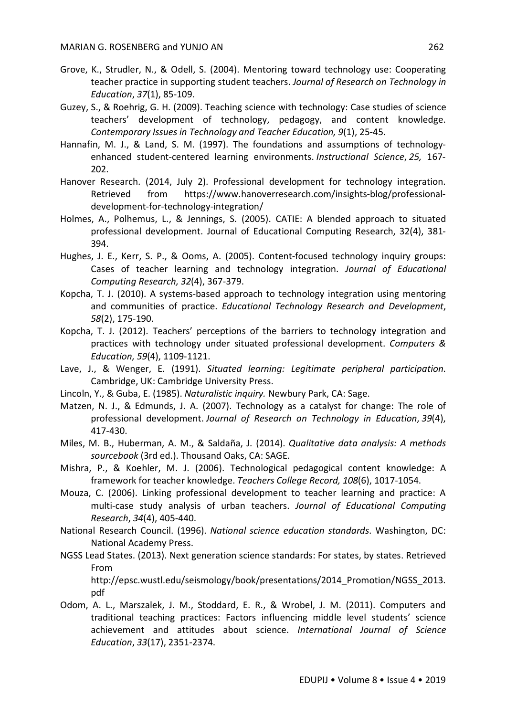- Grove, K., Strudler, N., & Odell, S. (2004). Mentoring toward technology use: Cooperating teacher practice in supporting student teachers. *Journal of Research on Technology in Education*, *37*(1), 85-109.
- Guzey, S., & Roehrig, G. H. (2009). Teaching science with technology: Case studies of science teachers' development of technology, pedagogy, and content knowledge. *Contemporary Issues in Technology and Teacher Education, 9*(1), 25-45.
- Hannafin, M. J., & Land, S. M. (1997). The foundations and assumptions of technologyenhanced student-centered learning environments. *Instructional Science*, *25,* 167- 202.
- Hanover Research. (2014, July 2). Professional development for technology integration. Retrieved from https://www.hanoverresearch.com/insights-blog/professionaldevelopment-for-technology-integration/
- Holmes, A., Polhemus, L., & Jennings, S. (2005). CATIE: A blended approach to situated professional development. Journal of Educational Computing Research, 32(4), 381- 394.
- Hughes, J. E., Kerr, S. P., & Ooms, A. (2005). Content-focused technology inquiry groups: Cases of teacher learning and technology integration. *Journal of Educational Computing Research, 32*(4), 367-379.
- Kopcha, T. J. (2010). A systems-based approach to technology integration using mentoring and communities of practice. *Educational Technology Research and Development*, *58*(2), 175-190.
- Kopcha, T. J. (2012). Teachers' perceptions of the barriers to technology integration and practices with technology under situated professional development. *Computers & Education, 59*(4), 1109-1121.
- Lave, J., & Wenger, E. (1991). *Situated learning: Legitimate peripheral participation*. Cambridge, UK: Cambridge University Press.
- Lincoln, Y., & Guba, E. (1985). *Naturalistic inquiry.* Newbury Park, CA: Sage.
- Matzen, N. J., & Edmunds, J. A. (2007). Technology as a catalyst for change: The role of professional development. *Journal of Research on Technology in Education*, *39*(4), 417-430.
- Miles, M. B., Huberman, A. M., & Saldaña, J. (2014). *Qualitative data analysis: A methods sourcebook* (3rd ed.). Thousand Oaks, CA: SAGE.
- Mishra, P., & Koehler, M. J. (2006). Technological pedagogical content knowledge: A framework for teacher knowledge. *Teachers College Record, 108*(6), 1017-1054.
- Mouza, C. (2006). Linking professional development to teacher learning and practice: A multi-case study analysis of urban teachers. *Journal of Educational Computing Research*, *34*(4), 405-440.
- National Research Council. (1996). *National science education standards*. Washington, DC: National Academy Press.
- NGSS Lead States. (2013). Next generation science standards: For states, by states. Retrieved From

http://epsc.wustl.edu/seismology/book/presentations/2014 Promotion/NGSS 2013. pdf

Odom, A. L., Marszalek, J. M., Stoddard, E. R., & Wrobel, J. M. (2011). Computers and traditional teaching practices: Factors influencing middle level students' science achievement and attitudes about science. *International Journal of Science Education*, *33*(17), 2351-2374.